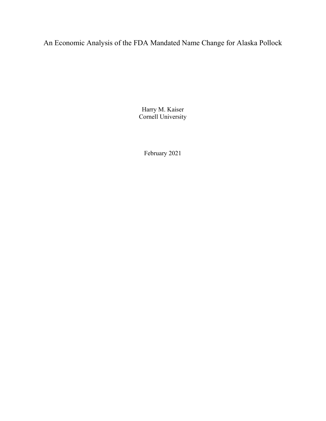An Economic Analysis of the FDA Mandated Name Change for Alaska Pollock

Harry M. Kaiser Cornell University

February 2021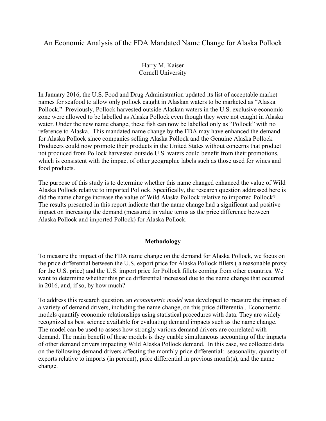## An Economic Analysis of the FDA Mandated Name Change for Alaska Pollock

Harry M. Kaiser Cornell University

In January 2016, the U.S. Food and Drug Administration updated its list of acceptable market names for seafood to allow only pollock caught in Alaskan waters to be marketed as "Alaska Pollock." Previously, Pollock harvested outside Alaskan waters in the U.S. exclusive economic zone were allowed to be labelled as Alaska Pollock even though they were not caught in Alaska water. Under the new name change, these fish can now be labelled only as "Pollock" with no reference to Alaska. This mandated name change by the FDA may have enhanced the demand for Alaska Pollock since companies selling Alaska Pollock and the Genuine Alaska Pollock Producers could now promote their products in the United States without concerns that product not produced from Pollock harvested outside U.S. waters could benefit from their promotions, which is consistent with the impact of other geographic labels such as those used for wines and food products.

The purpose of this study is to determine whether this name changed enhanced the value of Wild Alaska Pollock relative to imported Pollock. Specifically, the research question addressed here is did the name change increase the value of Wild Alaska Pollock relative to imported Pollock? The results presented in this report indicate that the name change had a significant and positive impact on increasing the demand (measured in value terms as the price difference between Alaska Pollock and imported Pollock) for Alaska Pollock.

## Methodology

To measure the impact of the FDA name change on the demand for Alaska Pollock, we focus on the price differential between the U.S. export price for Alaska Pollock fillets ( a reasonable proxy for the U.S. price) and the U.S. import price for Pollock fillets coming from other countries. We want to determine whether this price differential increased due to the name change that occurred in 2016, and, if so, by how much?

To address this research question, an *econometric model* was developed to measure the impact of a variety of demand drivers, including the name change, on this price differential. Econometric models quantify economic relationships using statistical procedures with data. They are widely recognized as best science available for evaluating demand impacts such as the name change. The model can be used to assess how strongly various demand drivers are correlated with demand. The main benefit of these models is they enable simultaneous accounting of the impacts of other demand drivers impacting Wild Alaska Pollock demand. In this case, we collected data on the following demand drivers affecting the monthly price differential: seasonality, quantity of exports relative to imports (in percent), price differential in previous month(s), and the name change.